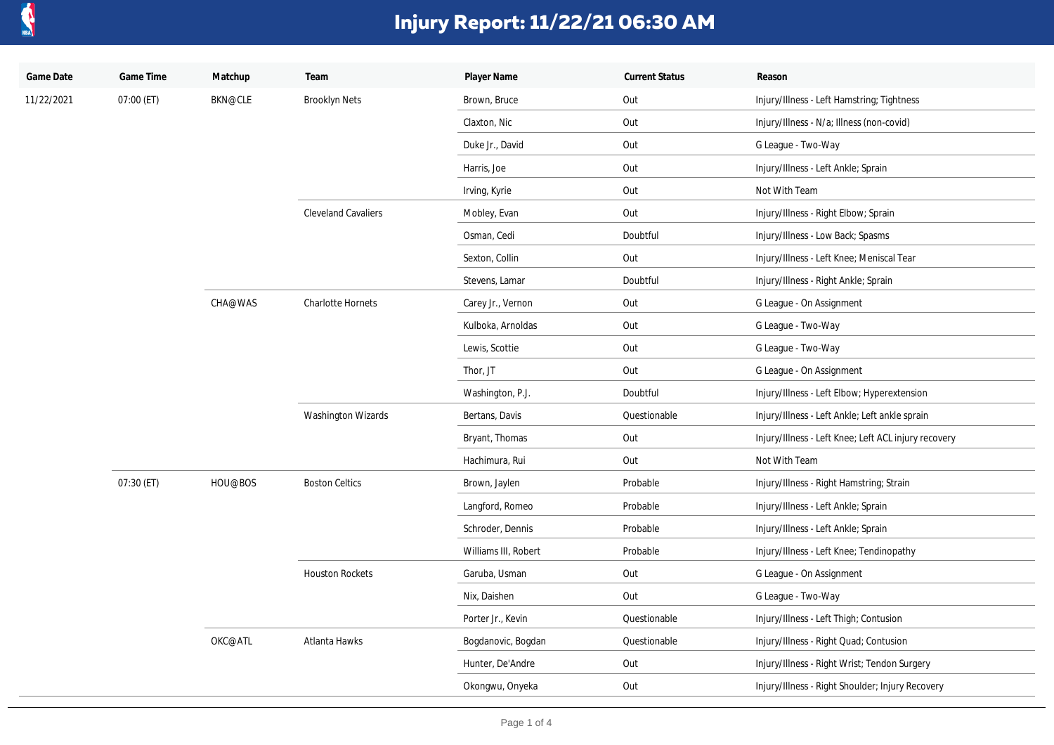

| Game Date  | Game Time  | Matchup        | Team                       | Player Name          | <b>Current Status</b> | Reason                                               |
|------------|------------|----------------|----------------------------|----------------------|-----------------------|------------------------------------------------------|
| 11/22/2021 | 07:00 (ET) | <b>BKN@CLE</b> | <b>Brooklyn Nets</b>       | Brown, Bruce         | Out                   | Injury/Illness - Left Hamstring; Tightness           |
|            |            |                |                            | Claxton, Nic         | Out                   | Injury/Illness - N/a; Illness (non-covid)            |
|            |            |                |                            | Duke Jr., David      | Out                   | G League - Two-Way                                   |
|            |            |                |                            | Harris, Joe          | Out                   | Injury/Illness - Left Ankle; Sprain                  |
|            |            |                |                            | Irving, Kyrie        | Out                   | Not With Team                                        |
|            |            |                | <b>Cleveland Cavaliers</b> | Mobley, Evan         | Out                   | Injury/Illness - Right Elbow; Sprain                 |
|            |            |                |                            | Osman, Cedi          | Doubtful              | Injury/Illness - Low Back; Spasms                    |
|            |            |                |                            | Sexton, Collin       | Out                   | Injury/Illness - Left Knee; Meniscal Tear            |
|            |            |                |                            | Stevens, Lamar       | Doubtful              | Injury/Illness - Right Ankle; Sprain                 |
|            |            | CHA@WAS        | <b>Charlotte Hornets</b>   | Carey Jr., Vernon    | Out                   | G League - On Assignment                             |
|            |            |                |                            | Kulboka, Arnoldas    | Out                   | G League - Two-Way                                   |
|            |            |                |                            | Lewis, Scottie       | Out                   | G League - Two-Way                                   |
|            |            |                |                            | Thor, JT             | Out                   | G League - On Assignment                             |
|            |            |                |                            | Washington, P.J.     | Doubtful              | Injury/Illness - Left Elbow; Hyperextension          |
|            |            |                | <b>Washington Wizards</b>  | Bertans, Davis       | Questionable          | Injury/Illness - Left Ankle; Left ankle sprain       |
|            |            |                |                            | Bryant, Thomas       | Out                   | Injury/Illness - Left Knee; Left ACL injury recovery |
|            |            |                |                            | Hachimura, Rui       | Out                   | Not With Team                                        |
|            | 07:30 (ET) | HOU@BOS        | <b>Boston Celtics</b>      | Brown, Jaylen        | Probable              | Injury/Illness - Right Hamstring; Strain             |
|            |            |                |                            | Langford, Romeo      | Probable              | Injury/Illness - Left Ankle; Sprain                  |
|            |            |                |                            | Schroder, Dennis     | Probable              | Injury/Illness - Left Ankle; Sprain                  |
|            |            |                |                            | Williams III, Robert | Probable              | Injury/Illness - Left Knee; Tendinopathy             |
|            |            |                | <b>Houston Rockets</b>     | Garuba, Usman        | Out                   | G League - On Assignment                             |
|            |            |                |                            | Nix, Daishen         | Out                   | G League - Two-Way                                   |
|            |            |                |                            | Porter Jr., Kevin    | Questionable          | Injury/Illness - Left Thigh; Contusion               |
|            |            | OKC@ATL        | Atlanta Hawks              | Bogdanovic, Bogdan   | Questionable          | Injury/Illness - Right Quad; Contusion               |
|            |            |                |                            | Hunter, De'Andre     | Out                   | Injury/Illness - Right Wrist; Tendon Surgery         |
|            |            |                |                            | Okongwu, Onyeka      | Out                   | Injury/Illness - Right Shoulder; Injury Recovery     |
|            |            |                |                            |                      |                       |                                                      |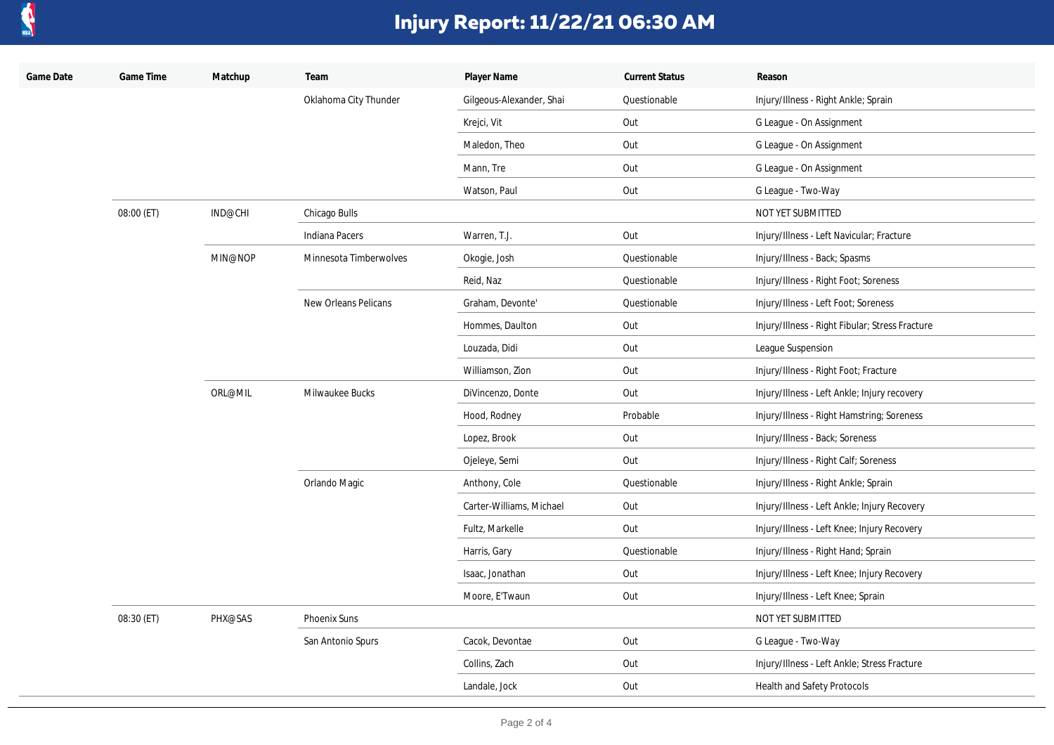

| Game Date | Game Time  | Matchup | Team                   | Player Name              | <b>Current Status</b> | Reason                                          |
|-----------|------------|---------|------------------------|--------------------------|-----------------------|-------------------------------------------------|
|           |            |         | Oklahoma City Thunder  | Gilgeous-Alexander, Shai | Questionable          | Injury/Illness - Right Ankle; Sprain            |
|           |            |         |                        | Krejci, Vit              | Out                   | G League - On Assignment                        |
|           |            |         |                        | Maledon, Theo            | Out                   | G League - On Assignment                        |
|           |            |         |                        | Mann, Tre                | Out                   | G League - On Assignment                        |
|           |            |         |                        | Watson, Paul             | Out                   | G League - Two-Way                              |
|           | 08:00 (ET) | IND@CHI | Chicago Bulls          |                          |                       | NOT YET SUBMITTED                               |
|           |            |         | Indiana Pacers         | Warren, T.J.             | Out                   | Injury/Illness - Left Navicular; Fracture       |
|           |            | MIN@NOP | Minnesota Timberwolves | Okogie, Josh             | Questionable          | Injury/Illness - Back; Spasms                   |
|           |            |         |                        | Reid, Naz                | Questionable          | Injury/Illness - Right Foot; Soreness           |
|           |            |         | New Orleans Pelicans   | Graham, Devonte'         | Questionable          | Injury/Illness - Left Foot; Soreness            |
|           |            |         |                        | Hommes, Daulton          | Out                   | Injury/Illness - Right Fibular; Stress Fracture |
|           |            |         |                        | Louzada, Didi            | Out                   | League Suspension                               |
|           |            |         |                        | Williamson, Zion         | Out                   | Injury/Illness - Right Foot; Fracture           |
|           |            | ORL@MIL | Milwaukee Bucks        | DiVincenzo, Donte        | Out                   | Injury/Illness - Left Ankle; Injury recovery    |
|           |            |         |                        | Hood, Rodney             | Probable              | Injury/Illness - Right Hamstring; Soreness      |
|           |            |         |                        | Lopez, Brook             | Out                   | Injury/Illness - Back; Soreness                 |
|           |            |         |                        | Ojeleye, Semi            | Out                   | Injury/Illness - Right Calf; Soreness           |
|           |            |         | Orlando Magic          | Anthony, Cole            | Questionable          | Injury/Illness - Right Ankle; Sprain            |
|           |            |         |                        | Carter-Williams, Michael | Out                   | Injury/Illness - Left Ankle; Injury Recovery    |
|           |            |         |                        | Fultz, Markelle          | Out                   | Injury/Illness - Left Knee; Injury Recovery     |
|           |            |         |                        | Harris, Gary             | Questionable          | Injury/Illness - Right Hand; Sprain             |
|           |            |         |                        | Isaac, Jonathan          | Out                   | Injury/Illness - Left Knee; Injury Recovery     |
|           |            |         |                        | Moore, E'Twaun           | Out                   | Injury/Illness - Left Knee; Sprain              |
|           | 08:30 (ET) | PHX@SAS | <b>Phoenix Suns</b>    |                          |                       | NOT YET SUBMITTED                               |
|           |            |         | San Antonio Spurs      | Cacok, Devontae          | Out                   | G League - Two-Way                              |
|           |            |         |                        | Collins, Zach            | Out                   | Injury/Illness - Left Ankle; Stress Fracture    |
|           |            |         |                        | Landale, Jock            | Out                   | Health and Safety Protocols                     |
|           |            |         |                        |                          |                       |                                                 |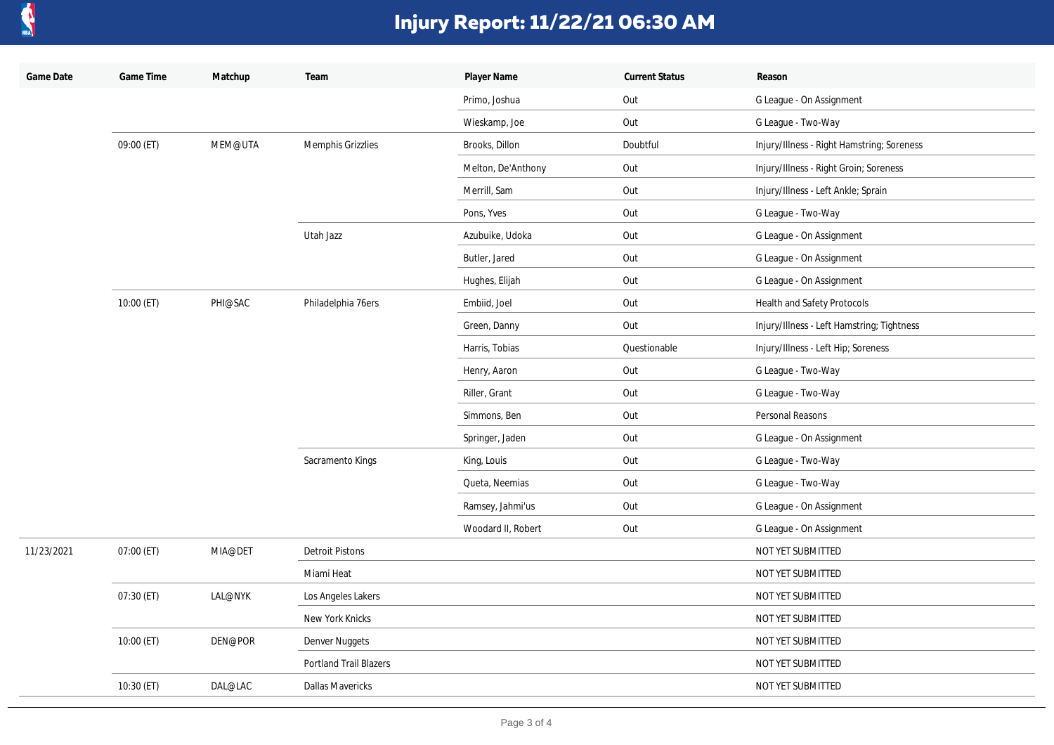

| Game Date  | Game Time    | Matchup | Team                    | Player Name        | <b>Current Status</b> | Reason                                     |
|------------|--------------|---------|-------------------------|--------------------|-----------------------|--------------------------------------------|
|            |              |         |                         | Primo, Joshua      | Out                   | G League - On Assignment                   |
|            |              |         |                         | Wieskamp, Joe      | Out                   | G League - Two-Way                         |
|            | 09:00 (ET)   | MEM@UTA | Memphis Grizzlies       | Brooks, Dillon     | Doubtful              | Injury/Illness - Right Hamstring; Soreness |
|            |              |         |                         | Melton, De'Anthony | Out                   | Injury/Illness - Right Groin; Soreness     |
|            |              |         |                         | Merrill, Sam       | Out                   | Injury/Illness - Left Ankle; Sprain        |
|            |              |         |                         | Pons, Yves         | Out                   | G League - Two-Way                         |
|            |              |         | Utah Jazz               | Azubuike, Udoka    | Out                   | G League - On Assignment                   |
|            |              |         |                         | Butler, Jared      | Out                   | G League - On Assignment                   |
|            |              |         |                         | Hughes, Elijah     | Out                   | G League - On Assignment                   |
|            | $10:00$ (ET) | PHI@SAC | Philadelphia 76ers      | Embiid, Joel       | Out                   | Health and Safety Protocols                |
|            |              |         |                         | Green, Danny       | Out                   | Injury/Illness - Left Hamstring; Tightness |
|            |              |         |                         | Harris, Tobias     | Questionable          | Injury/Illness - Left Hip; Soreness        |
|            |              |         |                         | Henry, Aaron       | Out                   | G League - Two-Way                         |
|            |              |         |                         | Riller, Grant      | Out                   | G League - Two-Way                         |
|            |              |         |                         | Simmons, Ben       | Out                   | Personal Reasons                           |
|            |              |         |                         | Springer, Jaden    | Out                   | G League - On Assignment                   |
|            |              |         | Sacramento Kings        | King, Louis        | Out                   | G League - Two-Way                         |
|            |              |         |                         | Queta, Neemias     | Out                   | G League - Two-Way                         |
|            |              |         |                         | Ramsey, Jahmi'us   | Out                   | G League - On Assignment                   |
|            |              |         |                         | Woodard II, Robert | Out                   | G League - On Assignment                   |
| 11/23/2021 | 07:00 (ET)   | MIA@DET | <b>Detroit Pistons</b>  |                    |                       | NOT YET SUBMITTED                          |
|            |              |         | Miami Heat              |                    |                       | NOT YET SUBMITTED                          |
|            | 07:30 (ET)   | LAL@NYK | Los Angeles Lakers      |                    |                       | NOT YET SUBMITTED                          |
|            |              |         | New York Knicks         |                    |                       | NOT YET SUBMITTED                          |
|            | 10:00 (ET)   | DEN@POR | Denver Nuggets          |                    |                       | NOT YET SUBMITTED                          |
|            |              |         | Portland Trail Blazers  |                    |                       | NOT YET SUBMITTED                          |
|            | 10:30 (ET)   | DAL@LAC | <b>Dallas Mavericks</b> |                    |                       | NOT YET SUBMITTED                          |
|            |              |         |                         |                    |                       |                                            |